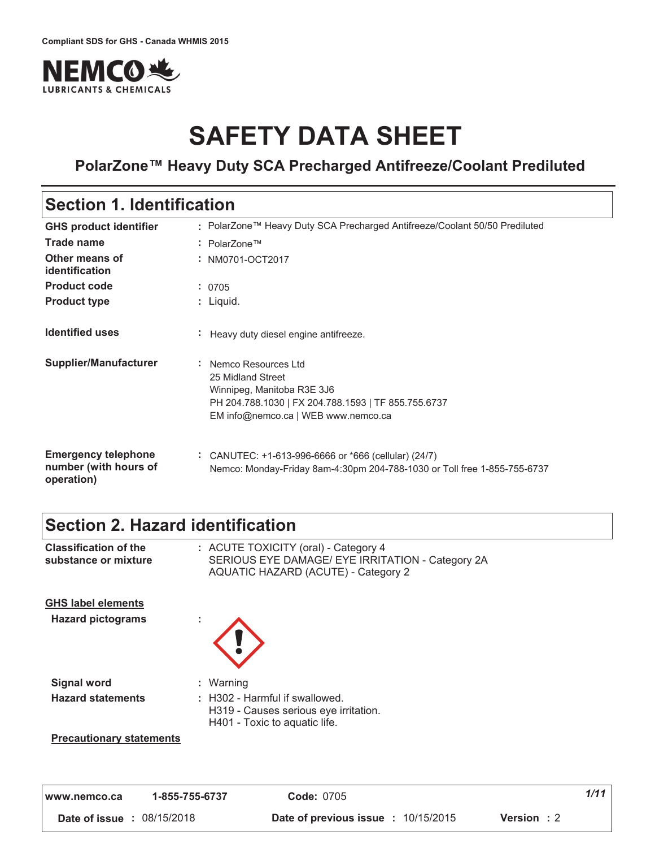

# **SAFETY DATA SHEET**

### **PolarZone™ Heavy Duty SCA Precharged Antifreeze/Coolant Prediluted**

### **Section 1. Identification**

| <b>GHS product identifier</b>                                     | : PolarZone™ Heavy Duty SCA Precharged Antifreeze/Coolant 50/50 Prediluted                                                                                             |
|-------------------------------------------------------------------|------------------------------------------------------------------------------------------------------------------------------------------------------------------------|
| <b>Trade name</b>                                                 | : PolarZone™                                                                                                                                                           |
| Other means of<br>identification                                  | : NM0701-OCT2017                                                                                                                                                       |
| <b>Product code</b>                                               | : 0705                                                                                                                                                                 |
| <b>Product type</b>                                               | : Liquid.                                                                                                                                                              |
| <b>Identified uses</b>                                            | Heavy duty diesel engine antifreeze.                                                                                                                                   |
| <b>Supplier/Manufacturer</b>                                      | : Nemco Resources Ltd<br>25 Midland Street<br>Winnipeg, Manitoba R3E 3J6<br>PH 204.788.1030   FX 204.788.1593   TF 855.755.6737<br>EM info@nemco.ca   WEB www.nemco.ca |
| <b>Emergency telephone</b><br>number (with hours of<br>operation) | CANUTEC: +1-613-996-6666 or *666 (cellular) (24/7)<br>Nemco: Monday-Friday 8am-4:30pm 204-788-1030 or Toll free 1-855-755-6737                                         |

### **Section 2. Hazard identification**

| <b>Classification of the</b><br>substance or mixture  | : ACUTE TOXICITY (oral) - Category 4<br>SERIOUS EYE DAMAGE/ EYE IRRITATION - Category 2A<br><b>AQUATIC HAZARD (ACUTE) - Category 2</b> |
|-------------------------------------------------------|----------------------------------------------------------------------------------------------------------------------------------------|
| <b>GHS label elements</b><br><b>Hazard pictograms</b> |                                                                                                                                        |
| <b>Signal word</b>                                    | : Warning                                                                                                                              |
| <b>Hazard statements</b>                              | : H302 - Harmful if swallowed.<br>H319 - Causes serious eye irritation.<br>H401 - Toxic to aquatic life.                               |
| <b>Precautionary statements</b>                       |                                                                                                                                        |

| www.nemco.ca                      | 1-855-755-6737 | <b>Code: 0705</b>                                                | 1/11 |
|-----------------------------------|----------------|------------------------------------------------------------------|------|
| <b>Date of issue : 08/15/2018</b> |                | <b>Date of previous issue : 10/15/2015</b><br><b>Version</b> : 2 |      |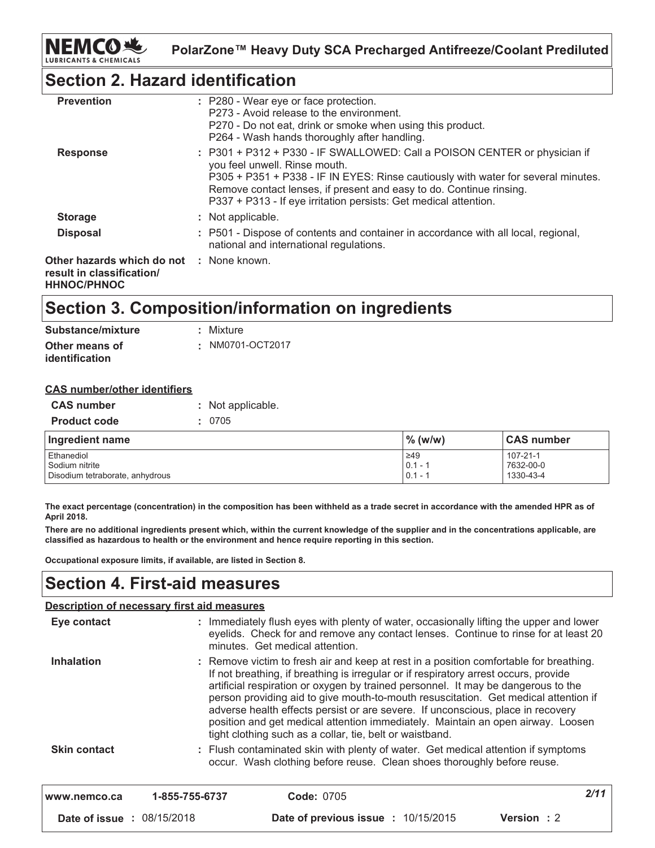

### **Section 2. Hazard identification**

| <b>Prevention</b>                                                                           | : P280 - Wear eye or face protection.<br>P273 - Avoid release to the environment.<br>P270 - Do not eat, drink or smoke when using this product.<br>P264 - Wash hands thoroughly after handling.                                                                                                                                            |
|---------------------------------------------------------------------------------------------|--------------------------------------------------------------------------------------------------------------------------------------------------------------------------------------------------------------------------------------------------------------------------------------------------------------------------------------------|
| <b>Response</b>                                                                             | : P301 + P312 + P330 - IF SWALLOWED: Call a POISON CENTER or physician if<br>you feel unwell. Rinse mouth.<br>P305 + P351 + P338 - IF IN EYES: Rinse cautiously with water for several minutes.<br>Remove contact lenses, if present and easy to do. Continue rinsing.<br>P337 + P313 - If eye irritation persists: Get medical attention. |
| <b>Storage</b>                                                                              | : Not applicable.                                                                                                                                                                                                                                                                                                                          |
| <b>Disposal</b>                                                                             | : P501 - Dispose of contents and container in accordance with all local, regional,<br>national and international regulations.                                                                                                                                                                                                              |
| Other hazards which do not : None known.<br>result in classification/<br><b>HHNOC/PHNOC</b> |                                                                                                                                                                                                                                                                                                                                            |

### Section 3. Composition/information on ingredients

| Substance/mixture | : Mixture        |  |
|-------------------|------------------|--|
| Other means of    | : NM0701-OCT2017 |  |
| identification    |                  |  |

#### **CAS number/other identifiers**

| <b>CAS number</b>   | : Not applicable. |  |
|---------------------|-------------------|--|
| <b>Product code</b> | : 0705            |  |

| Ingredient name                 | $\%$ (w/w) | <b>CAS number</b> |
|---------------------------------|------------|-------------------|
| Ethanediol                      | $\geq 49$  | $107 - 21 - 1$    |
| Sodium nitrite                  | $0.1 - 1$  | 7632-00-0         |
| Disodium tetraborate, anhydrous | $0.1 - 1$  | 1330-43-4         |

The exact percentage (concentration) in the composition has been withheld as a trade secret in accordance with the amended HPR as of April 2018.

There are no additional ingredients present which, within the current knowledge of the supplier and in the concentrations applicable, are classified as hazardous to health or the environment and hence require reporting in this section.

Occupational exposure limits, if available, are listed in Section 8.

### **Section 4. First-aid measures**

#### Description of necessary first aid measures

| Eye contact                |                | : Immediately flush eyes with plenty of water, occasionally lifting the upper and lower<br>eyelids. Check for and remove any contact lenses. Continue to rinse for at least 20<br>minutes. Get medical attention.                                                                                                                                                                                                                                                                                                                                                                            |            |
|----------------------------|----------------|----------------------------------------------------------------------------------------------------------------------------------------------------------------------------------------------------------------------------------------------------------------------------------------------------------------------------------------------------------------------------------------------------------------------------------------------------------------------------------------------------------------------------------------------------------------------------------------------|------------|
| <b>Inhalation</b>          |                | : Remove victim to fresh air and keep at rest in a position comfortable for breathing.<br>If not breathing, if breathing is irregular or if respiratory arrest occurs, provide<br>artificial respiration or oxygen by trained personnel. It may be dangerous to the<br>person providing aid to give mouth-to-mouth resuscitation. Get medical attention if<br>adverse health effects persist or are severe. If unconscious, place in recovery<br>position and get medical attention immediately. Maintain an open airway. Loosen<br>tight clothing such as a collar, tie, belt or waistband. |            |
| <b>Skin contact</b>        |                | : Flush contaminated skin with plenty of water. Get medical attention if symptoms<br>occur. Wash clothing before reuse. Clean shoes thoroughly before reuse.                                                                                                                                                                                                                                                                                                                                                                                                                                 |            |
| www.nemco.ca               | 1-855-755-6737 | <b>Code: 0705</b>                                                                                                                                                                                                                                                                                                                                                                                                                                                                                                                                                                            | 2/11       |
| Date of issue : 08/15/2018 |                | <b>Date of previous issue : 10/15/2015</b>                                                                                                                                                                                                                                                                                                                                                                                                                                                                                                                                                   | Version: 2 |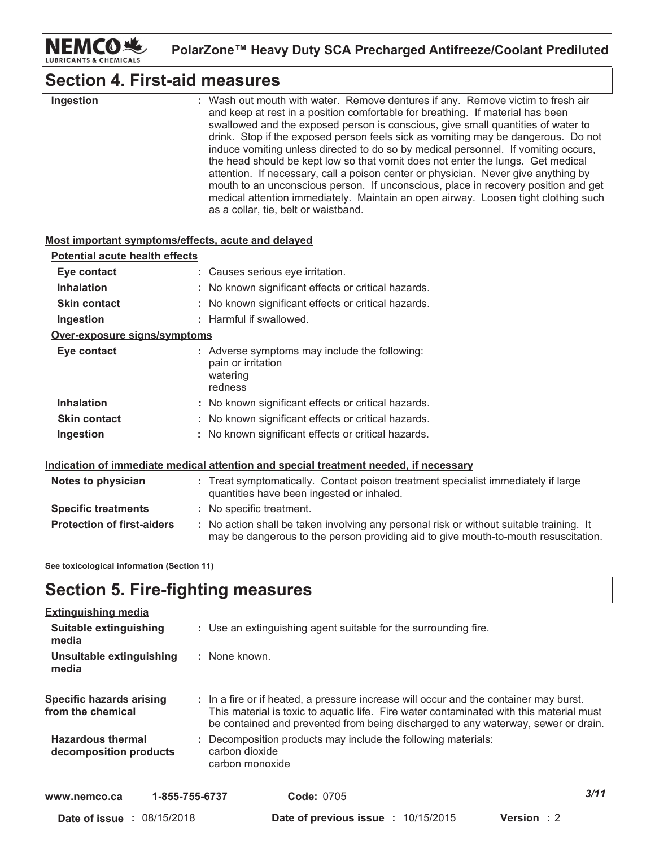

may be dangerous to the person providing aid to give mouth-to-mouth resuscitation.

### **Section 4. First-aid measures**

| Ingestion                                          | : Wash out mouth with water. Remove dentures if any. Remove victim to fresh air<br>and keep at rest in a position comfortable for breathing. If material has been<br>swallowed and the exposed person is conscious, give small quantities of water to<br>drink. Stop if the exposed person feels sick as vomiting may be dangerous. Do not<br>induce vomiting unless directed to do so by medical personnel. If vomiting occurs,<br>the head should be kept low so that vomit does not enter the lungs. Get medical<br>attention. If necessary, call a poison center or physician. Never give anything by<br>mouth to an unconscious person. If unconscious, place in recovery position and get<br>medical attention immediately. Maintain an open airway. Loosen tight clothing such<br>as a collar, tie, belt or waistband. |
|----------------------------------------------------|-------------------------------------------------------------------------------------------------------------------------------------------------------------------------------------------------------------------------------------------------------------------------------------------------------------------------------------------------------------------------------------------------------------------------------------------------------------------------------------------------------------------------------------------------------------------------------------------------------------------------------------------------------------------------------------------------------------------------------------------------------------------------------------------------------------------------------|
| Most important symptoms/effects, acute and delayed |                                                                                                                                                                                                                                                                                                                                                                                                                                                                                                                                                                                                                                                                                                                                                                                                                               |
| <b>Potential acute health effects</b>              |                                                                                                                                                                                                                                                                                                                                                                                                                                                                                                                                                                                                                                                                                                                                                                                                                               |
| Eye contact                                        | : Causes serious eye irritation.                                                                                                                                                                                                                                                                                                                                                                                                                                                                                                                                                                                                                                                                                                                                                                                              |
| <b>Inhalation</b>                                  | : No known significant effects or critical hazards.                                                                                                                                                                                                                                                                                                                                                                                                                                                                                                                                                                                                                                                                                                                                                                           |
| <b>Skin contact</b>                                | : No known significant effects or critical hazards.                                                                                                                                                                                                                                                                                                                                                                                                                                                                                                                                                                                                                                                                                                                                                                           |
| Ingestion                                          | : Harmful if swallowed.                                                                                                                                                                                                                                                                                                                                                                                                                                                                                                                                                                                                                                                                                                                                                                                                       |
| Over-exposure signs/symptoms                       |                                                                                                                                                                                                                                                                                                                                                                                                                                                                                                                                                                                                                                                                                                                                                                                                                               |
| Eye contact                                        | : Adverse symptoms may include the following:<br>pain or irritation<br>watering<br>redness                                                                                                                                                                                                                                                                                                                                                                                                                                                                                                                                                                                                                                                                                                                                    |
| <b>Inhalation</b>                                  | : No known significant effects or critical hazards.                                                                                                                                                                                                                                                                                                                                                                                                                                                                                                                                                                                                                                                                                                                                                                           |
| <b>Skin contact</b>                                | : No known significant effects or critical hazards.                                                                                                                                                                                                                                                                                                                                                                                                                                                                                                                                                                                                                                                                                                                                                                           |
| Ingestion                                          | : No known significant effects or critical hazards.                                                                                                                                                                                                                                                                                                                                                                                                                                                                                                                                                                                                                                                                                                                                                                           |
|                                                    | Indication of immediate medical attention and special treatment needed, if necessary                                                                                                                                                                                                                                                                                                                                                                                                                                                                                                                                                                                                                                                                                                                                          |
| <b>Notes to physician</b>                          | : Treat symptomatically. Contact poison treatment specialist immediately if large<br>quantities have been ingested or inhaled.                                                                                                                                                                                                                                                                                                                                                                                                                                                                                                                                                                                                                                                                                                |
| <b>Specific treatments</b>                         | : No specific treatment.                                                                                                                                                                                                                                                                                                                                                                                                                                                                                                                                                                                                                                                                                                                                                                                                      |
| <b>Protection of first-aiders</b>                  | : No action shall be taken involving any personal risk or without suitable training. It                                                                                                                                                                                                                                                                                                                                                                                                                                                                                                                                                                                                                                                                                                                                       |

See toxicological information (Section 11)

### **Section 5. Fire-fighting measures**

| <b>Extinguishing media</b>                           |                                                                                                                                                                                                                                                                       |      |
|------------------------------------------------------|-----------------------------------------------------------------------------------------------------------------------------------------------------------------------------------------------------------------------------------------------------------------------|------|
| Suitable extinguishing<br>media                      | : Use an extinguishing agent suitable for the surrounding fire.                                                                                                                                                                                                       |      |
| Unsuitable extinguishing<br>media                    | : None known.                                                                                                                                                                                                                                                         |      |
| <b>Specific hazards arising</b><br>from the chemical | : In a fire or if heated, a pressure increase will occur and the container may burst.<br>This material is toxic to aquatic life. Fire water contaminated with this material must<br>be contained and prevented from being discharged to any waterway, sewer or drain. |      |
| <b>Hazardous thermal</b><br>decomposition products   | : Decomposition products may include the following materials:<br>carbon dioxide<br>carbon monoxide                                                                                                                                                                    |      |
| www.nemco.ca                                         | 1-855-755-6737<br><b>Code: 0705</b>                                                                                                                                                                                                                                   | 3/11 |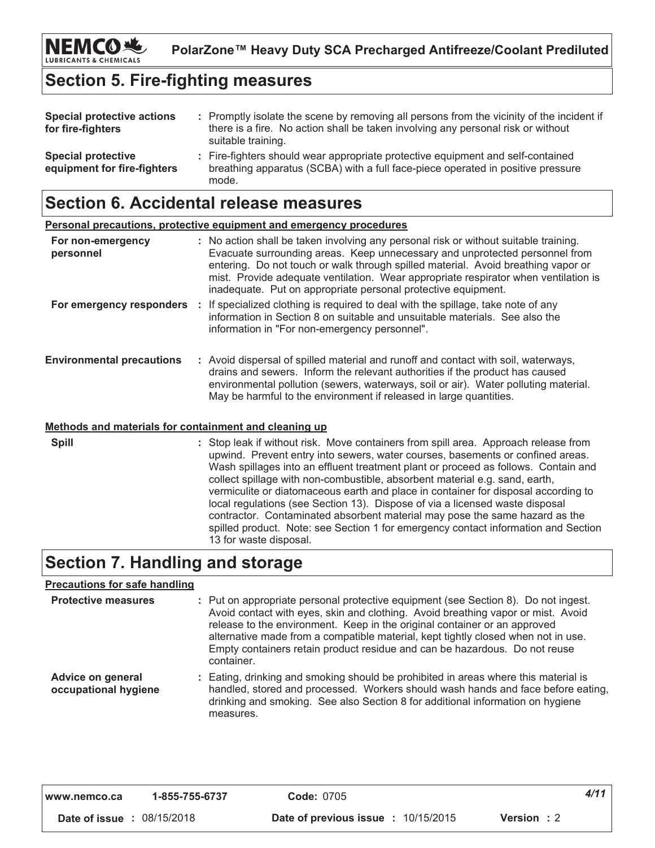### **Section 5. Fire-fighting measures**

| <b>Special protective actions</b><br>for fire-fighters   | : Promptly isolate the scene by removing all persons from the vicinity of the incident if<br>there is a fire. No action shall be taken involving any personal risk or without<br>suitable training. |
|----------------------------------------------------------|-----------------------------------------------------------------------------------------------------------------------------------------------------------------------------------------------------|
| <b>Special protective</b><br>equipment for fire-fighters | : Fire-fighters should wear appropriate protective equipment and self-contained<br>breathing apparatus (SCBA) with a full face-piece operated in positive pressure<br>mode.                         |

### Section 6. Accidental release measures

|                                  | <b>Personal precautions, protective equipment and emergency procedures</b>                                                                                                                                                                                                                                                                                                                                       |
|----------------------------------|------------------------------------------------------------------------------------------------------------------------------------------------------------------------------------------------------------------------------------------------------------------------------------------------------------------------------------------------------------------------------------------------------------------|
| For non-emergency<br>personnel   | : No action shall be taken involving any personal risk or without suitable training.<br>Evacuate surrounding areas. Keep unnecessary and unprotected personnel from<br>entering. Do not touch or walk through spilled material. Avoid breathing vapor or<br>mist. Provide adequate ventilation. Wear appropriate respirator when ventilation is<br>inadequate. Put on appropriate personal protective equipment. |
| For emergency responders         | If specialized clothing is required to deal with the spillage, take note of any<br>information in Section 8 on suitable and unsuitable materials. See also the<br>information in "For non-emergency personnel".                                                                                                                                                                                                  |
| <b>Environmental precautions</b> | : Avoid dispersal of spilled material and runoff and contact with soil, waterways,<br>drains and sewers. Inform the relevant authorities if the product has caused<br>environmental pollution (sewers, waterways, soil or air). Water polluting material.<br>May be harmful to the environment if released in large quantities.                                                                                  |

### Methods and materials for containment and cleaning up

**Spill** : Stop leak if without risk. Move containers from spill area. Approach release from upwind. Prevent entry into sewers, water courses, basements or confined areas. Wash spillages into an effluent treatment plant or proceed as follows. Contain and collect spillage with non-combustible, absorbent material e.g. sand, earth, vermiculite or diatomaceous earth and place in container for disposal according to local regulations (see Section 13). Dispose of via a licensed waste disposal contractor. Contaminated absorbent material may pose the same hazard as the spilled product. Note: see Section 1 for emergency contact information and Section 13 for waste disposal.

### **Section 7. Handling and storage**

#### **Precautions for safe handling**

| <b>Protective measures</b>                | : Put on appropriate personal protective equipment (see Section 8). Do not ingest.<br>Avoid contact with eyes, skin and clothing. Avoid breathing vapor or mist. Avoid<br>release to the environment. Keep in the original container or an approved<br>alternative made from a compatible material, kept tightly closed when not in use.<br>Empty containers retain product residue and can be hazardous. Do not reuse<br>container. |
|-------------------------------------------|--------------------------------------------------------------------------------------------------------------------------------------------------------------------------------------------------------------------------------------------------------------------------------------------------------------------------------------------------------------------------------------------------------------------------------------|
| Advice on general<br>occupational hygiene | : Eating, drinking and smoking should be prohibited in areas where this material is<br>handled, stored and processed. Workers should wash hands and face before eating,<br>drinking and smoking. See also Section 8 for additional information on hygiene<br><b>MAASLIFAS</b>                                                                                                                                                        |

| www.nemco.ca                      | 1-855-755-6737 | <b>Code: 0705</b>                                                | 4/11 |
|-----------------------------------|----------------|------------------------------------------------------------------|------|
| <b>Date of issue : 08/15/2018</b> |                | <b>Date of previous issue : 10/15/2015</b><br><b>Version</b> : 2 |      |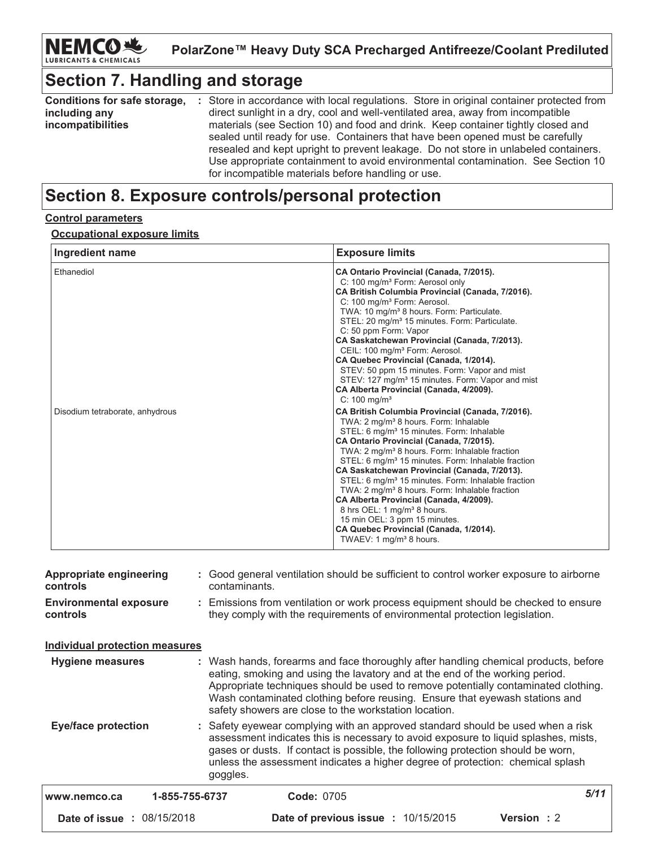# **Section 7. Handling and storage**

| Conditions for safe storage, | : Store in accordance with local regulations. Store in original container protected from |
|------------------------------|------------------------------------------------------------------------------------------|
| including any                | direct sunlight in a dry, cool and well-ventilated area, away from incompatible          |
| incompatibilities            | materials (see Section 10) and food and drink. Keep container tightly closed and         |
|                              | sealed until ready for use. Containers that have been opened must be carefully           |
|                              | resealed and kept upright to prevent leakage. Do not store in unlabeled containers.      |
|                              | Use appropriate containment to avoid environmental contamination. See Section 10         |
|                              | for incompatible materials before handling or use.                                       |

### Section 8. Exposure controls/personal protection

#### **Control parameters**

#### **Occupational exposure limits**

| Ingredient name                 | <b>Exposure limits</b>                                                                                                                                                                                                                                                                                                                                                                                                                                                                                                                                                                                                                                                                                                            |
|---------------------------------|-----------------------------------------------------------------------------------------------------------------------------------------------------------------------------------------------------------------------------------------------------------------------------------------------------------------------------------------------------------------------------------------------------------------------------------------------------------------------------------------------------------------------------------------------------------------------------------------------------------------------------------------------------------------------------------------------------------------------------------|
| Ethanediol                      | CA Ontario Provincial (Canada, 7/2015).<br>C: 100 mg/m <sup>3</sup> Form: Aerosol only<br>CA British Columbia Provincial (Canada, 7/2016).<br>C: 100 mg/m <sup>3</sup> Form: Aerosol.<br>TWA: 10 mg/m <sup>3</sup> 8 hours. Form: Particulate.<br>STEL: 20 mg/m <sup>3</sup> 15 minutes. Form: Particulate.<br>C: 50 ppm Form: Vapor<br>CA Saskatchewan Provincial (Canada, 7/2013).<br>CEIL: 100 mg/m <sup>3</sup> Form: Aerosol.<br>CA Quebec Provincial (Canada, 1/2014).<br>STEV: 50 ppm 15 minutes. Form: Vapor and mist<br>STEV: 127 mg/m <sup>3</sup> 15 minutes. Form: Vapor and mist<br>CA Alberta Provincial (Canada, 4/2009).<br>$C: 100$ ma/m <sup>3</sup>                                                            |
| Disodium tetraborate, anhydrous | CA British Columbia Provincial (Canada, 7/2016).<br>TWA: 2 mg/m <sup>3</sup> 8 hours. Form: Inhalable<br>STEL: 6 mg/m <sup>3</sup> 15 minutes. Form: Inhalable<br>CA Ontario Provincial (Canada, 7/2015).<br>TWA: 2 mg/m <sup>3</sup> 8 hours. Form: Inhalable fraction<br>STEL: 6 mg/m <sup>3</sup> 15 minutes. Form: Inhalable fraction<br>CA Saskatchewan Provincial (Canada, 7/2013).<br>STEL: 6 mg/m <sup>3</sup> 15 minutes. Form: Inhalable fraction<br>TWA: 2 mg/m <sup>3</sup> 8 hours. Form: Inhalable fraction<br>CA Alberta Provincial (Canada, 4/2009).<br>8 hrs OEL: 1 mg/m <sup>3</sup> 8 hours.<br>15 min OEL: 3 ppm 15 minutes.<br>CA Quebec Provincial (Canada, 1/2014).<br>TWAEV: 1 mg/m <sup>3</sup> 8 hours. |

| <b>Date of issue : 08/15/2018</b>         |                | Date of previous issue : 10/15/2015                                                                                                                                                                                                                                                                                                          | <b>Version</b> : 2 |
|-------------------------------------------|----------------|----------------------------------------------------------------------------------------------------------------------------------------------------------------------------------------------------------------------------------------------------------------------------------------------------------------------------------------------|--------------------|
| www.nemco.ca                              | 1-855-755-6737 | <b>Code: 0705</b>                                                                                                                                                                                                                                                                                                                            | 5/11               |
| <b>Eye/face protection</b>                | goggles.       | : Safety eyewear complying with an approved standard should be used when a risk<br>assessment indicates this is necessary to avoid exposure to liquid splashes, mists,<br>gases or dusts. If contact is possible, the following protection should be worn,<br>unless the assessment indicates a higher degree of protection: chemical splash |                    |
|                                           |                | eating, smoking and using the lavatory and at the end of the working period.<br>Appropriate techniques should be used to remove potentially contaminated clothing.<br>Wash contaminated clothing before reusing. Ensure that eyewash stations and<br>safety showers are close to the workstation location.                                   |                    |
| <b>Hygiene measures</b>                   |                | : Wash hands, forearms and face thoroughly after handling chemical products, before                                                                                                                                                                                                                                                          |                    |
| <b>Individual protection measures</b>     |                |                                                                                                                                                                                                                                                                                                                                              |                    |
| <b>Environmental exposure</b><br>controls |                | : Emissions from ventilation or work process equipment should be checked to ensure<br>they comply with the requirements of environmental protection legislation.                                                                                                                                                                             |                    |
| Appropriate engineering<br>controls       | contaminants.  | : Good general ventilation should be sufficient to control worker exposure to airborne                                                                                                                                                                                                                                                       |                    |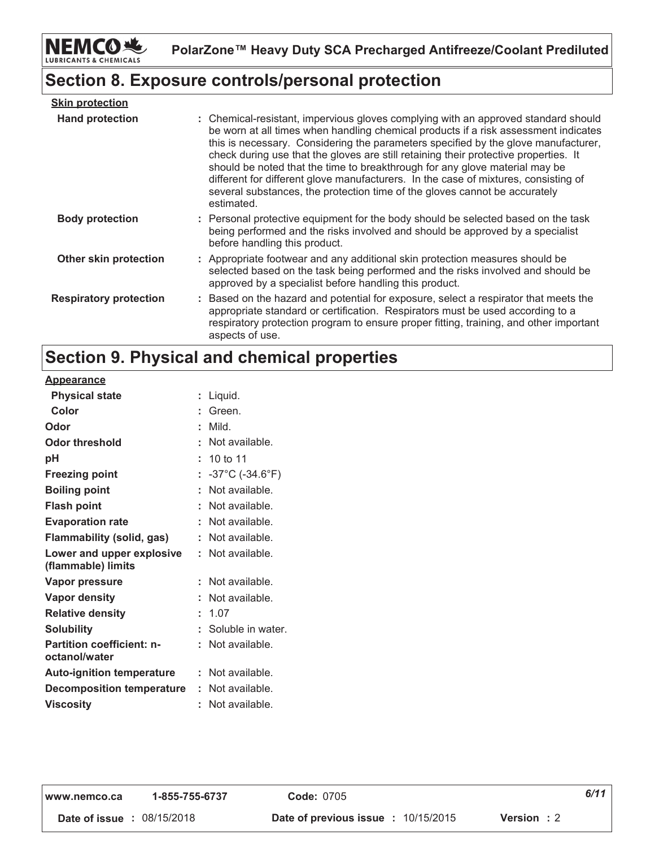

### Section 8. Exposure controls/personal protection

| <b>Skin protection</b>        |                                                                                                                                                                                                                                                                                                                                                                                                                                                                                                                                                                                                                           |
|-------------------------------|---------------------------------------------------------------------------------------------------------------------------------------------------------------------------------------------------------------------------------------------------------------------------------------------------------------------------------------------------------------------------------------------------------------------------------------------------------------------------------------------------------------------------------------------------------------------------------------------------------------------------|
| <b>Hand protection</b>        | : Chemical-resistant, impervious gloves complying with an approved standard should<br>be worn at all times when handling chemical products if a risk assessment indicates<br>this is necessary. Considering the parameters specified by the glove manufacturer,<br>check during use that the gloves are still retaining their protective properties. It<br>should be noted that the time to breakthrough for any glove material may be<br>different for different glove manufacturers. In the case of mixtures, consisting of<br>several substances, the protection time of the gloves cannot be accurately<br>estimated. |
| <b>Body protection</b>        | : Personal protective equipment for the body should be selected based on the task<br>being performed and the risks involved and should be approved by a specialist<br>before handling this product.                                                                                                                                                                                                                                                                                                                                                                                                                       |
| Other skin protection         | : Appropriate footwear and any additional skin protection measures should be<br>selected based on the task being performed and the risks involved and should be<br>approved by a specialist before handling this product.                                                                                                                                                                                                                                                                                                                                                                                                 |
| <b>Respiratory protection</b> | : Based on the hazard and potential for exposure, select a respirator that meets the<br>appropriate standard or certification. Respirators must be used according to a<br>respiratory protection program to ensure proper fitting, training, and other important<br>aspects of use.                                                                                                                                                                                                                                                                                                                                       |

# Section 9. Physical and chemical properties

#### **Appearance**

| <b>Physical state</b>                             |    | Liquid.                              |
|---------------------------------------------------|----|--------------------------------------|
| Color                                             |    | Green.                               |
| Odor                                              | t  | Mild.                                |
| Odor threshold                                    | t  | Not available.                       |
| рH                                                |    | 10 to 11                             |
| <b>Freezing point</b>                             | t. | $-37^{\circ}$ C (-34.6 $^{\circ}$ F) |
| <b>Boiling point</b>                              | t  | Not available.                       |
| <b>Flash point</b>                                |    | Not available.                       |
| <b>Evaporation rate</b>                           | t  | Not available.                       |
| Flammability (solid, gas)                         | t  | Not available.                       |
| Lower and upper explosive<br>(flammable) limits   | t  | Not available.                       |
| Vapor pressure                                    | ÷. | Not available.                       |
| <b>Vapor density</b>                              |    | Not available.                       |
| <b>Relative density</b>                           | ÷. | 1.07                                 |
| <b>Solubility</b>                                 | t  | Soluble in water.                    |
| <b>Partition coefficient: n-</b><br>octanol/water | t  | Not available.                       |
|                                                   |    |                                      |
| <b>Auto-ignition temperature</b>                  | t. | Not available.                       |
| <b>Decomposition temperature</b>                  | t  | Not available.                       |
| <b>Viscosity</b>                                  |    | Not available.                       |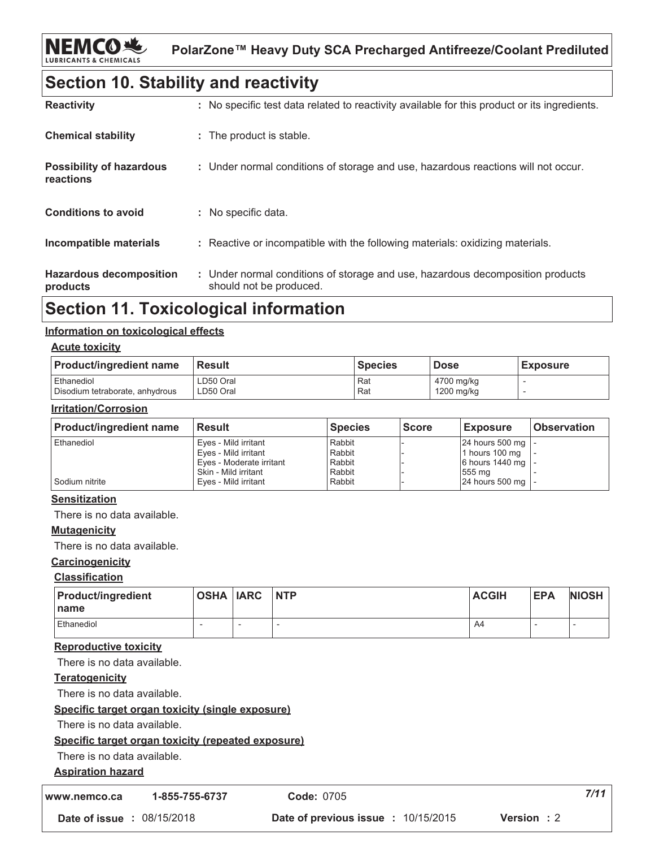### **Section 10. Stability and reactivity**

| <b>Reactivity</b>                            | : No specific test data related to reactivity available for this product or its ingredients.              |
|----------------------------------------------|-----------------------------------------------------------------------------------------------------------|
| <b>Chemical stability</b>                    | : The product is stable.                                                                                  |
| <b>Possibility of hazardous</b><br>reactions | : Under normal conditions of storage and use, hazardous reactions will not occur.                         |
| <b>Conditions to avoid</b>                   | : No specific data.                                                                                       |
| Incompatible materials                       | : Reactive or incompatible with the following materials: oxidizing materials.                             |
| <b>Hazardous decomposition</b><br>products   | : Under normal conditions of storage and use, hazardous decomposition products<br>should not be produced. |

### **Section 11. Toxicological information**

#### Information on toxicological effects

#### **Acute toxicity**

| <b>Product/ingredient name</b>  | <b>Result</b> | <b>Species</b> | <b>Dose</b> | <b>Exposure</b> |
|---------------------------------|---------------|----------------|-------------|-----------------|
| Ethanediol                      | LD50 Oral     | Rat            | 4700 mg/kg  |                 |
| Disodium tetraborate, anhydrous | LD50 Oral     | Rat            | 1200 mg/kg  |                 |

#### **Irritation/Corrosion**

| <b>Product/ingredient name</b> | <b>Result</b>            | <b>Species</b> | <b>Score</b> | <b>Exposure</b>     | <b>Observation</b> |
|--------------------------------|--------------------------|----------------|--------------|---------------------|--------------------|
| Ethanediol                     | Eyes - Mild irritant     | Rabbit         |              | 24 hours 500 mg   - |                    |
|                                | Eyes - Mild irritant     | Rabbit         |              | 1 hours 100 mg      |                    |
|                                | Eyes - Moderate irritant | Rabbit         |              | 6 hours 1440 mg   - |                    |
|                                | Skin - Mild irritant     | Rabbit         |              | 555 mg              |                    |
| l Sodium nitrite               | Eves - Mild irritant     | Rabbit         |              | 24 hours 500 mg   - |                    |

#### **Sensitization**

There is no data available.

### **Mutagenicity**

There is no data available.

#### Carcinogenicity

#### **Classification**

| <b>Product/ingredient</b><br>l name | <b>OSHA IARC</b> | <b>NTP</b> | <b>ACGIH</b> | <b>EPA</b> | <b>NIOSH</b> |
|-------------------------------------|------------------|------------|--------------|------------|--------------|
| Ethanediol                          | -                |            | A4           |            |              |

#### **Reproductive toxicity**

There is no data available.

#### Teratogenicity

There is no data available.

#### Specific target organ toxicity (single exposure)

There is no data available.

#### Specific target organ toxicity (repeated exposure)

There is no data available.

#### **Aspiration hazard**

1-855-755-6737 www.nemco.ca

Code: 0705

Date of previous issue : 10/15/2015

 $7/11$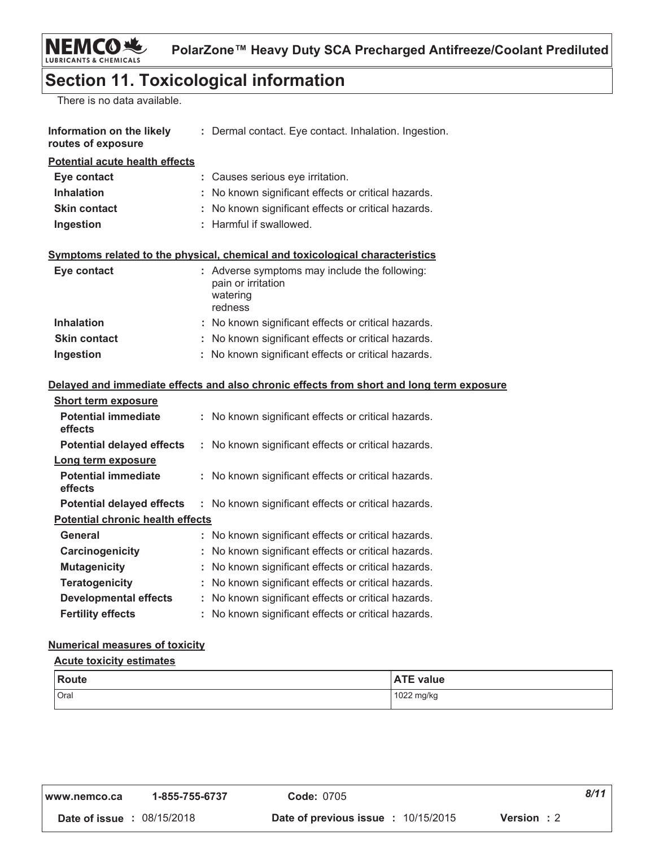### **Section 11. Toxicological information**

There is no data available.

| Information on the likely<br>routes of exposure | : Dermal contact. Eye contact. Inhalation. Ingestion.                        |
|-------------------------------------------------|------------------------------------------------------------------------------|
| <b>Potential acute health effects</b>           |                                                                              |
| Eye contact                                     | : Causes serious eye irritation.                                             |
| <b>Inhalation</b>                               | : No known significant effects or critical hazards.                          |
| <b>Skin contact</b>                             | : No known significant effects or critical hazards.                          |
| Ingestion                                       | : Harmful if swallowed.                                                      |
|                                                 | Symptoms related to the physical, chemical and toxicological characteristics |
| Eye contact                                     | : Adverse symptoms may include the following:<br>pain or irritation          |
|                                                 | watering<br>redness                                                          |
| <b>Inhalation</b>                               | : No known significant effects or critical hazards.                          |
| <b>Skin contact</b>                             | No known significant effects or critical hazards.                            |
| Ingestion                                       | : No known significant effects or critical hazards.                          |

#### Delayed and immediate effects and also chronic effects from short and long term exposure

| <b>Short term exposure</b>              |                                                     |
|-----------------------------------------|-----------------------------------------------------|
| <b>Potential immediate</b><br>effects   | : No known significant effects or critical hazards. |
| <b>Potential delayed effects</b>        | : No known significant effects or critical hazards. |
| Long term exposure                      |                                                     |
| <b>Potential immediate</b><br>effects   | : No known significant effects or critical hazards. |
| <b>Potential delayed effects</b>        | : No known significant effects or critical hazards. |
| <b>Potential chronic health effects</b> |                                                     |
| General                                 | : No known significant effects or critical hazards. |
| Carcinogenicity                         | No known significant effects or critical hazards.   |
| <b>Mutagenicity</b>                     | : No known significant effects or critical hazards. |
| <b>Teratogenicity</b>                   | : No known significant effects or critical hazards. |
| <b>Developmental effects</b>            | : No known significant effects or critical hazards. |
| <b>Fertility effects</b>                | : No known significant effects or critical hazards. |

### **Numerical measures of toxicity**

#### **Acute toxicity estimates**

| <b>Route</b> | <b>ATE value</b> |
|--------------|------------------|
| Oral         | 1022 mg/kg       |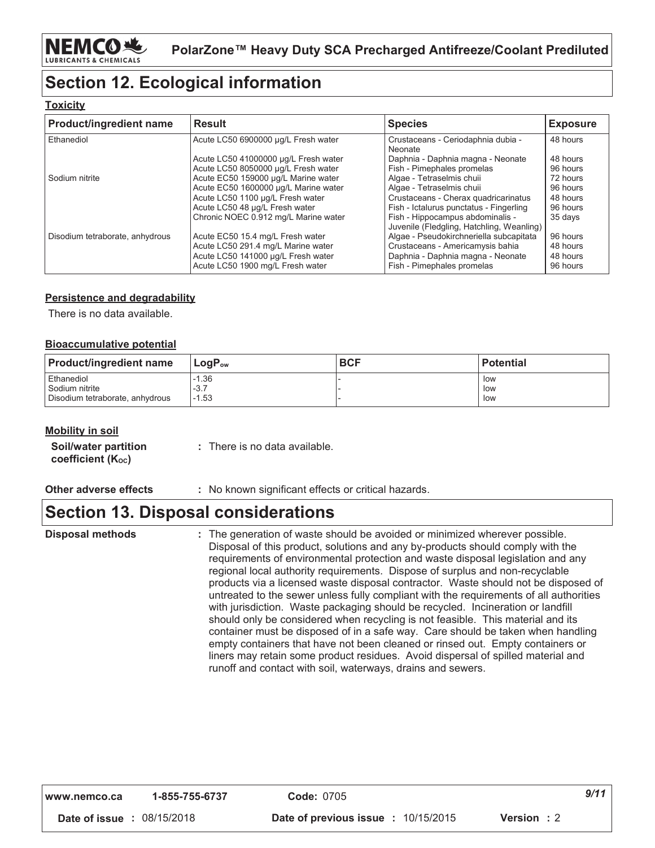# **Section 12. Ecological information**

#### **Toxicity**

| <b>Product/ingredient name</b>  | <b>Result</b>                                                                                                | <b>Species</b>                                                                                      | <b>Exposure</b>                  |
|---------------------------------|--------------------------------------------------------------------------------------------------------------|-----------------------------------------------------------------------------------------------------|----------------------------------|
| Ethanediol                      | Acute LC50 6900000 µg/L Fresh water                                                                          | Crustaceans - Ceriodaphnia dubia -<br>Neonate                                                       | 48 hours                         |
|                                 | Acute LC50 41000000 µg/L Fresh water                                                                         | Daphnia - Daphnia magna - Neonate                                                                   | 48 hours                         |
|                                 | Acute LC50 8050000 µg/L Fresh water                                                                          | Fish - Pimephales promelas                                                                          | 96 hours                         |
| Sodium nitrite                  | Acute EC50 159000 µg/L Marine water                                                                          | Algae - Tetraselmis chuii                                                                           | 72 hours                         |
|                                 | Acute EC50 1600000 µg/L Marine water                                                                         | Algae - Tetraselmis chuii                                                                           | 96 hours                         |
|                                 | Acute LC50 1100 µg/L Fresh water                                                                             | Crustaceans - Cherax quadricarinatus                                                                | 48 hours                         |
|                                 | Acute LC50 48 µg/L Fresh water                                                                               | Fish - Ictalurus punctatus - Fingerling                                                             | 96 hours                         |
|                                 | Chronic NOEC 0.912 mg/L Marine water                                                                         | Fish - Hippocampus abdominalis -<br>Juvenile (Fledgling, Hatchling, Weanling)                       | 35 days                          |
| Disodium tetraborate, anhydrous | Acute EC50 15.4 mg/L Fresh water                                                                             | Algae - Pseudokirchneriella subcapitata                                                             | 96 hours                         |
|                                 | Acute LC50 291.4 mg/L Marine water<br>Acute LC50 141000 µg/L Fresh water<br>Acute LC50 1900 mg/L Fresh water | Crustaceans - Americamysis bahia<br>Daphnia - Daphnia magna - Neonate<br>Fish - Pimephales promelas | 48 hours<br>48 hours<br>96 hours |

### **Persistence and degradability**

There is no data available.

#### **Bioaccumulative potential**

| <b>Product/ingredient name</b>  | $\mathsf{LogP}_\mathsf{ow}$ | <b>BCF</b> | <b>Potential</b> |
|---------------------------------|-----------------------------|------------|------------------|
| Ethanediol                      | $-1.36$                     |            | low              |
| Sodium nitrite                  | $-3.7$                      |            | low              |
| Disodium tetraborate, anhydrous | 1.53                        |            | low              |

#### **Mobility in soil**

| Soil/water partition   | : There is no data available. |
|------------------------|-------------------------------|
| coefficient $(K_{oc})$ |                               |

#### Other adverse effects

: No known significant effects or critical hazards.

### **Section 13. Disposal considerations**

: The generation of waste should be avoided or minimized wherever possible. Disposal of this product, solutions and any by-products should comply with the requirements of environmental protection and waste disposal legislation and any regional local authority requirements. Dispose of surplus and non-recyclable products via a licensed waste disposal contractor. Waste should not be disposed of untreated to the sewer unless fully compliant with the requirements of all authorities with jurisdiction. Waste packaging should be recycled. Incineration or landfill should only be considered when recycling is not feasible. This material and its container must be disposed of in a safe way. Care should be taken when handling empty containers that have not been cleaned or rinsed out. Empty containers or liners may retain some product residues. Avoid dispersal of spilled material and runoff and contact with soil, waterways, drains and sewers.

| www.nemco.ca                      | 1-855-755-6737 | <b>Code: 0705</b>                          |            | 9/11 |
|-----------------------------------|----------------|--------------------------------------------|------------|------|
| <b>Date of issue : 08/15/2018</b> |                | <b>Date of previous issue : 10/15/2015</b> | Version: 2 |      |

**Disposal methods**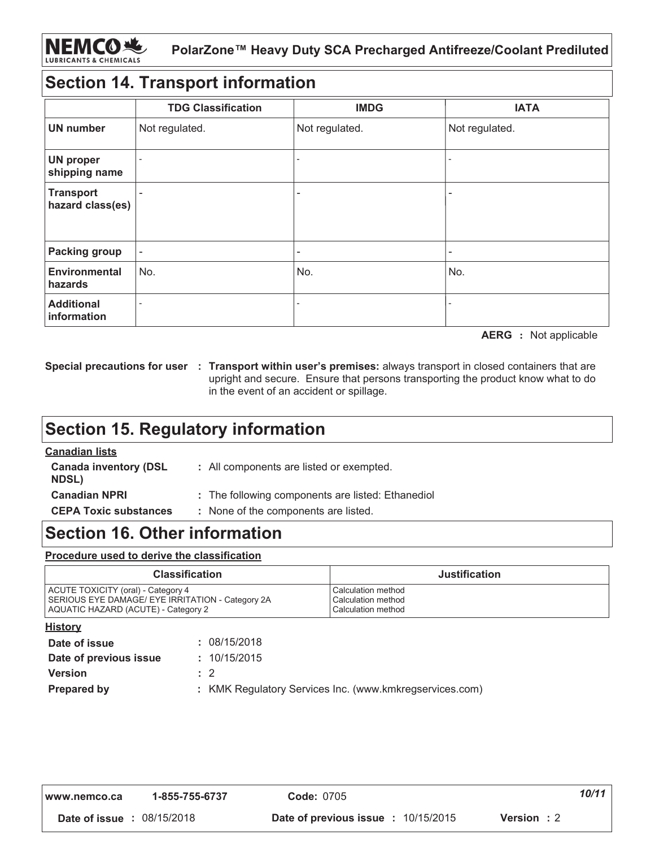### **Section 14. Transport information**

|                                      | <b>TDG Classification</b> | <b>IMDG</b>              | <b>IATA</b>              |
|--------------------------------------|---------------------------|--------------------------|--------------------------|
| <b>UN number</b>                     | Not regulated.            | Not regulated.           | Not regulated.           |
| <b>UN proper</b><br>shipping name    |                           |                          |                          |
| <b>Transport</b><br>hazard class(es) |                           | $\overline{\phantom{0}}$ |                          |
| <b>Packing group</b>                 | $\overline{\phantom{a}}$  | $\overline{\phantom{0}}$ | $\overline{\phantom{0}}$ |
| <b>Environmental</b><br>hazards      | No.                       | No.                      | No.                      |
| <b>Additional</b><br>information     |                           |                          |                          |

**AERG** : Not applicable

Special precautions for user : Transport within user's premises: always transport in closed containers that are upright and secure. Ensure that persons transporting the product know what to do in the event of an accident or spillage.

### **Section 15. Regulatory information**

#### **Canadian lists Canada inventory (DSL** : All components are listed or exempted. **NDSL) Canadian NPRI** : The following components are listed: Ethanediol **CEPA Toxic substances** : None of the components are listed.

### **Section 16. Other information**

#### Procedure used to derive the classification

| <b>Classification</b>                            | <b>Justification</b> |
|--------------------------------------------------|----------------------|
| ACUTE TOXICITY (oral) - Category 4               | l Calculation method |
| SERIOUS EYE DAMAGE/ EYE IRRITATION - Category 2A | Calculation method   |
| AQUATIC HAZARD (ACUTE) - Category 2              | l Calculation method |

| <b>History</b>         |                                                         |
|------------------------|---------------------------------------------------------|
| Date of issue          | : 08/15/2018                                            |
| Date of previous issue | : 10/15/2015                                            |
| <b>Version</b>         | $\therefore$ 2                                          |
| <b>Prepared by</b>     | : KMK Regulatory Services Inc. (www.kmkregservices.com) |
|                        |                                                         |

| www.nemco.ca                      | 1-855-755-6737 | <b>Code: 0705</b>                          |             | 10/11 |
|-----------------------------------|----------------|--------------------------------------------|-------------|-------|
| <b>Date of issue : 08/15/2018</b> |                | <b>Date of previous issue : 10/15/2015</b> | Version : 2 |       |